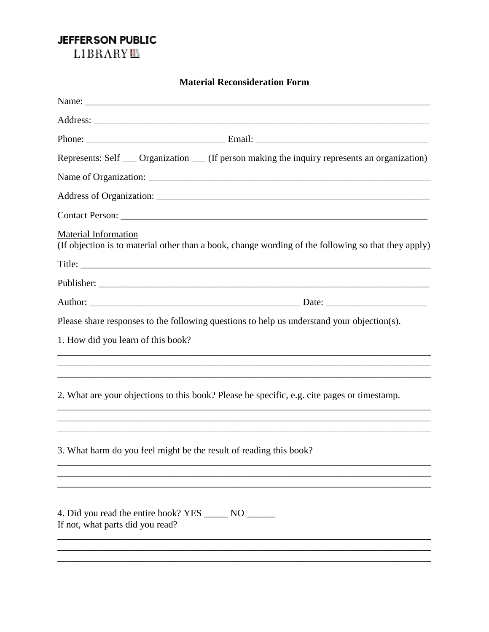## JEFFERSON PUBLIC

LIBRARY<sup>EL</sup>

| <b>Material Reconsideration Form</b>                                                                                               |  |  |
|------------------------------------------------------------------------------------------------------------------------------------|--|--|
|                                                                                                                                    |  |  |
|                                                                                                                                    |  |  |
|                                                                                                                                    |  |  |
| Represents: Self __ Organization __ (If person making the inquiry represents an organization)                                      |  |  |
|                                                                                                                                    |  |  |
|                                                                                                                                    |  |  |
| Contact Person:                                                                                                                    |  |  |
| <b>Material Information</b><br>(If objection is to material other than a book, change wording of the following so that they apply) |  |  |
|                                                                                                                                    |  |  |
|                                                                                                                                    |  |  |
|                                                                                                                                    |  |  |
| Please share responses to the following questions to help us understand your objection(s).                                         |  |  |
| 1. How did you learn of this book?                                                                                                 |  |  |
|                                                                                                                                    |  |  |
|                                                                                                                                    |  |  |
| 2. What are your objections to this book? Please be specific, e.g. cite pages or timestamp.                                        |  |  |
|                                                                                                                                    |  |  |
| 3. What harm do you feel might be the result of reading this book?                                                                 |  |  |
|                                                                                                                                    |  |  |
|                                                                                                                                    |  |  |
| 4. Did you read the entire book? YES ________ NO _______<br>If not, what parts did you read?                                       |  |  |
|                                                                                                                                    |  |  |
|                                                                                                                                    |  |  |